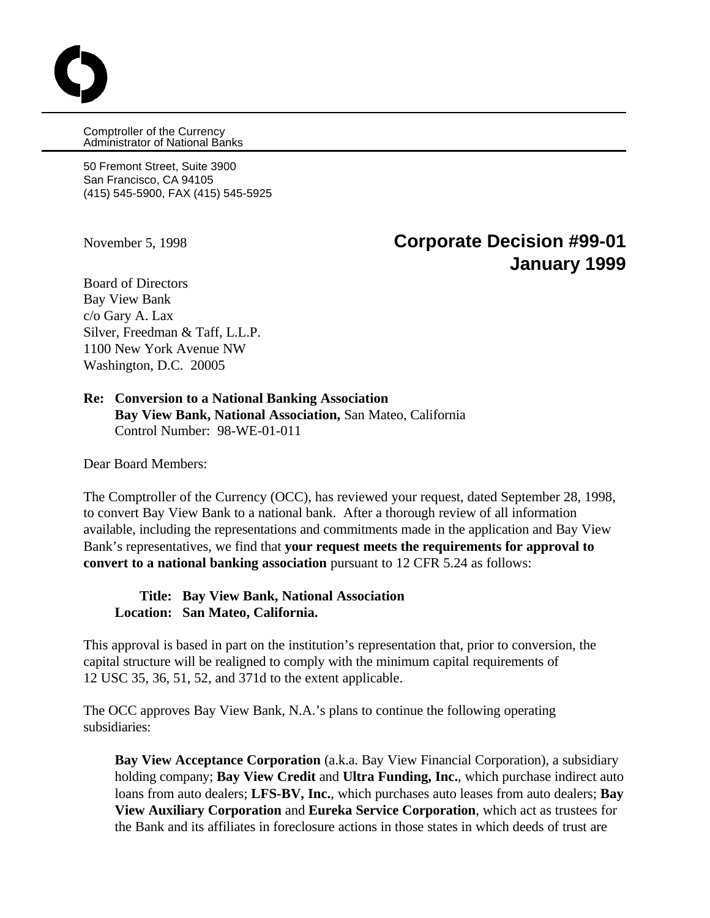Comptroller of the Currency Administrator of National Banks

50 Fremont Street, Suite 3900 San Francisco, CA 94105 (415) 545-5900, FAX (415) 545-5925

# November 5, 1998 **Corporate Decision #99-01 January 1999**

Board of Directors Bay View Bank c/o Gary A. Lax Silver, Freedman & Taff, L.L.P. 1100 New York Avenue NW Washington, D.C. 20005

#### **Re: Conversion to a National Banking Association Bay View Bank, National Association,** San Mateo, California Control Number: 98-WE-01-011

Dear Board Members:

The Comptroller of the Currency (OCC), has reviewed your request, dated September 28, 1998, to convert Bay View Bank to a national bank. After a thorough review of all information available, including the representations and commitments made in the application and Bay View Bank's representatives, we find that **your request meets the requirements for approval to convert to a national banking association** pursuant to 12 CFR 5.24 as follows:

### **Title: Bay View Bank, National Association Location: San Mateo, California.**

This approval is based in part on the institution's representation that, prior to conversion, the capital structure will be realigned to comply with the minimum capital requirements of 12 USC 35, 36, 51, 52, and 371d to the extent applicable.

The OCC approves Bay View Bank, N.A.'s plans to continue the following operating subsidiaries:

**Bay View Acceptance Corporation** (a.k.a. Bay View Financial Corporation), a subsidiary holding company; **Bay View Credit** and **Ultra Funding, Inc.**, which purchase indirect auto loans from auto dealers; **LFS-BV, Inc.**, which purchases auto leases from auto dealers; **Bay View Auxiliary Corporation** and **Eureka Service Corporation**, which act as trustees for the Bank and its affiliates in foreclosure actions in those states in which deeds of trust are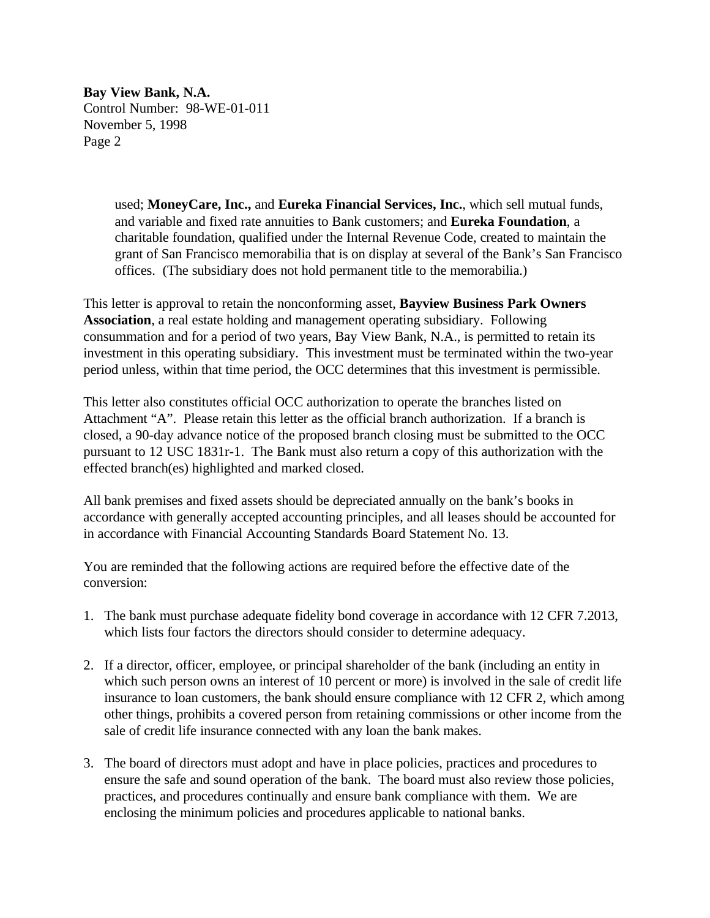**Bay View Bank, N.A.** Control Number: 98-WE-01-011 November 5, 1998 Page 2

> used; **MoneyCare, Inc.,** and **Eureka Financial Services, Inc.**, which sell mutual funds, and variable and fixed rate annuities to Bank customers; and **Eureka Foundation**, a charitable foundation, qualified under the Internal Revenue Code, created to maintain the grant of San Francisco memorabilia that is on display at several of the Bank's San Francisco offices. (The subsidiary does not hold permanent title to the memorabilia.)

This letter is approval to retain the nonconforming asset, **Bayview Business Park Owners Association**, a real estate holding and management operating subsidiary. Following consummation and for a period of two years, Bay View Bank, N.A., is permitted to retain its investment in this operating subsidiary. This investment must be terminated within the two-year period unless, within that time period, the OCC determines that this investment is permissible.

This letter also constitutes official OCC authorization to operate the branches listed on Attachment "A". Please retain this letter as the official branch authorization. If a branch is closed, a 90-day advance notice of the proposed branch closing must be submitted to the OCC pursuant to 12 USC 1831r-1. The Bank must also return a copy of this authorization with the effected branch(es) highlighted and marked closed.

All bank premises and fixed assets should be depreciated annually on the bank's books in accordance with generally accepted accounting principles, and all leases should be accounted for in accordance with Financial Accounting Standards Board Statement No. 13.

You are reminded that the following actions are required before the effective date of the conversion:

- 1. The bank must purchase adequate fidelity bond coverage in accordance with 12 CFR 7.2013, which lists four factors the directors should consider to determine adequacy.
- 2. If a director, officer, employee, or principal shareholder of the bank (including an entity in which such person owns an interest of 10 percent or more) is involved in the sale of credit life insurance to loan customers, the bank should ensure compliance with 12 CFR 2, which among other things, prohibits a covered person from retaining commissions or other income from the sale of credit life insurance connected with any loan the bank makes.
- 3. The board of directors must adopt and have in place policies, practices and procedures to ensure the safe and sound operation of the bank. The board must also review those policies, practices, and procedures continually and ensure bank compliance with them. We are enclosing the minimum policies and procedures applicable to national banks.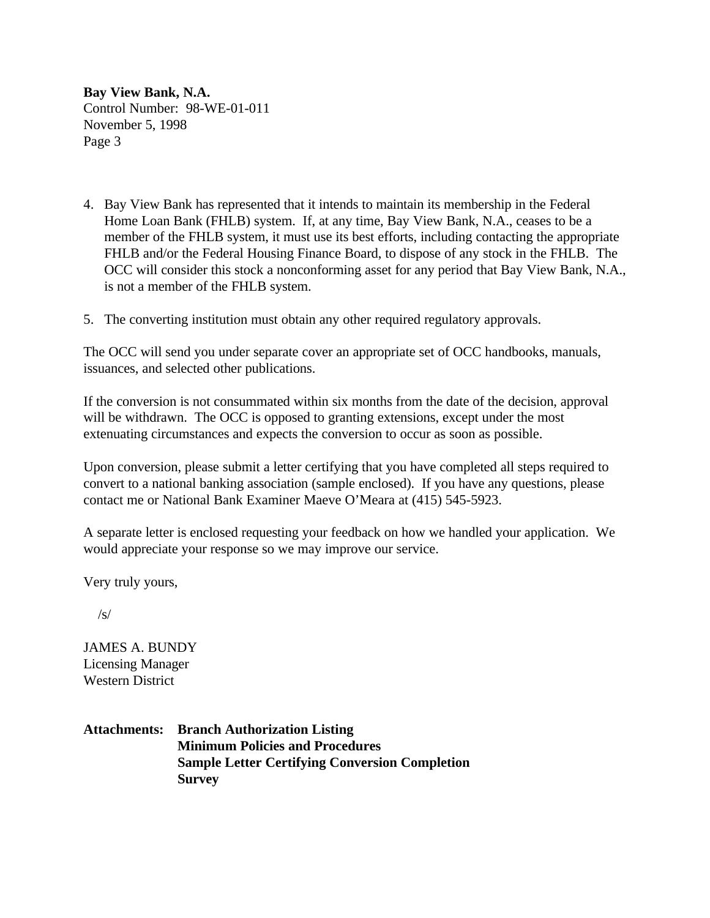**Bay View Bank, N.A.** Control Number: 98-WE-01-011 November 5, 1998 Page 3

- 4. Bay View Bank has represented that it intends to maintain its membership in the Federal Home Loan Bank (FHLB) system. If, at any time, Bay View Bank, N.A., ceases to be a member of the FHLB system, it must use its best efforts, including contacting the appropriate FHLB and/or the Federal Housing Finance Board, to dispose of any stock in the FHLB. The OCC will consider this stock a nonconforming asset for any period that Bay View Bank, N.A., is not a member of the FHLB system.
- 5. The converting institution must obtain any other required regulatory approvals.

The OCC will send you under separate cover an appropriate set of OCC handbooks, manuals, issuances, and selected other publications.

If the conversion is not consummated within six months from the date of the decision, approval will be withdrawn. The OCC is opposed to granting extensions, except under the most extenuating circumstances and expects the conversion to occur as soon as possible.

Upon conversion, please submit a letter certifying that you have completed all steps required to convert to a national banking association (sample enclosed). If you have any questions, please contact me or National Bank Examiner Maeve O'Meara at (415) 545-5923.

A separate letter is enclosed requesting your feedback on how we handled your application. We would appreciate your response so we may improve our service.

Very truly yours,

 $\sqrt{s}$ 

JAMES A. BUNDY Licensing Manager Western District

**Attachments: Branch Authorization Listing Minimum Policies and Procedures Sample Letter Certifying Conversion Completion Survey**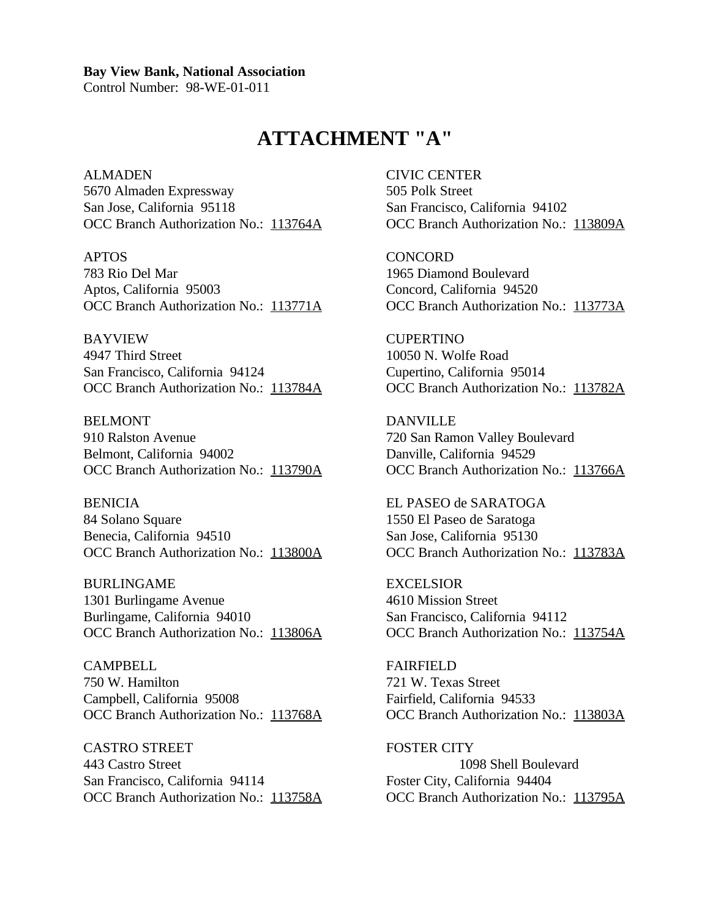Control Number: 98-WE-01-011

# **ATTACHMENT "A"**

ALMADEN CIVIC CENTER 5670 Almaden Expressway 505 Polk Street San Jose, California 95118 San Francisco, California 94102 OCC Branch Authorization No.: 113764A OCC Branch Authorization No.: 113809A

783 Rio Del Mar 1965 Diamond Boulevard Aptos, California 95003 Concord, California 94520

BAYVIEW CUPERTINO 4947 Third Street 10050 N. Wolfe Road San Francisco, California 94124 Cupertino, California 95014

BELMONT DANVILLE 910 Ralston Avenue 720 San Ramon Valley Boulevard Belmont, California 94002 Danville, California 94529

BENICIA EL PASEO de SARATOGA 84 Solano Square 1550 El Paseo de Saratoga Benecia, California 94510 San Jose, California 95130

BURLINGAME EXCELSIOR 1301 Burlingame Avenue 4610 Mission Street Burlingame, California 94010 San Francisco, California 94112

CAMPBELL FAIRFIELD 750 W. Hamilton 721 W. Texas Street Campbell, California 95008 Fairfield, California 94533 OCC Branch Authorization No.: 113768A OCC Branch Authorization No.: 113803A

CASTRO STREET FOSTER CITY 443 Castro Street 1098 Shell Boulevard San Francisco, California 94114 Foster City, California 94404 OCC Branch Authorization No.: 113758A OCC Branch Authorization No.: 113795A

APTOS CONCORD OCC Branch Authorization No.: 113771A OCC Branch Authorization No.: 113773A

OCC Branch Authorization No.: 113784A OCC Branch Authorization No.: 113782A

OCC Branch Authorization No.: 113790A OCC Branch Authorization No.: 113766A

OCC Branch Authorization No.: 113800A OCC Branch Authorization No.: 113783A

OCC Branch Authorization No.: 113806A OCC Branch Authorization No.: 113754A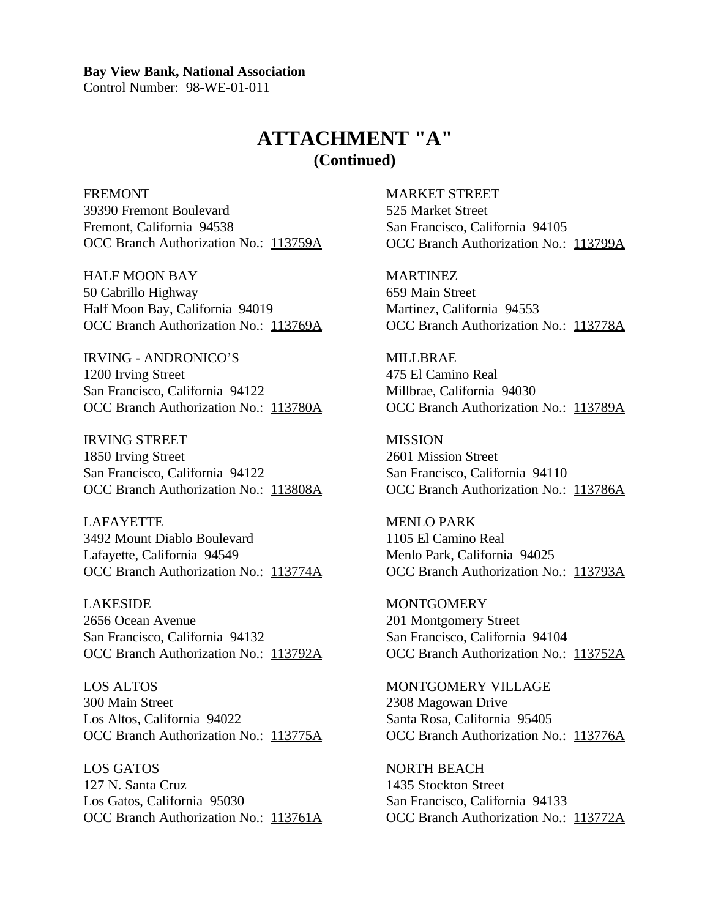Control Number: 98-WE-01-011

### **ATTACHMENT "A" (Continued)**

FREMONT THE MARKET STREET 39390 Fremont Boulevard 525 Market Street Fremont, California 94538 San Francisco, California 94105 OCC Branch Authorization No.: 113759A OCC Branch Authorization No.: 113799A

HALF MOON BAY MARTINEZ 50 Cabrillo Highway 659 Main Street Half Moon Bay, California 94019 Martinez, California 94553

IRVING - ANDRONICO'S MILLBRAE 1200 Irving Street 475 El Camino Real San Francisco, California 94122 Millbrae, California 94030

IRVING STREET MISSION 1850 Irving Street 2601 Mission Street San Francisco, California 94122 San Francisco, California 94110

LAFAYETTE MENLO PARK 3492 Mount Diablo Boulevard 1105 El Camino Real Lafayette, California 94549 Menlo Park, California 94025 OCC Branch Authorization No.: 113774A OCC Branch Authorization No.: 113793A

LAKESIDE MONTGOMERY 2656 Ocean Avenue 201 Montgomery Street San Francisco, California 94132 San Francisco, California 94104

LOS ALTOS MONTGOMERY VILLAGE 300 Main Street 2308 Magowan Drive Los Altos, California 94022 Santa Rosa, California 95405

LOS GATOS NORTH BEACH 127 N. Santa Cruz 1435 Stockton Street Los Gatos, California 95030 San Francisco, California 94133

OCC Branch Authorization No.: 113769A OCC Branch Authorization No.: 113778A

OCC Branch Authorization No.: 113780A OCC Branch Authorization No.: 113789A

OCC Branch Authorization No.: 113808A OCC Branch Authorization No.: 113786A

OCC Branch Authorization No.: 113792A OCC Branch Authorization No.: 113752A

OCC Branch Authorization No.: 113775A OCC Branch Authorization No.: 113776A

OCC Branch Authorization No.: 113761A OCC Branch Authorization No.: 113772A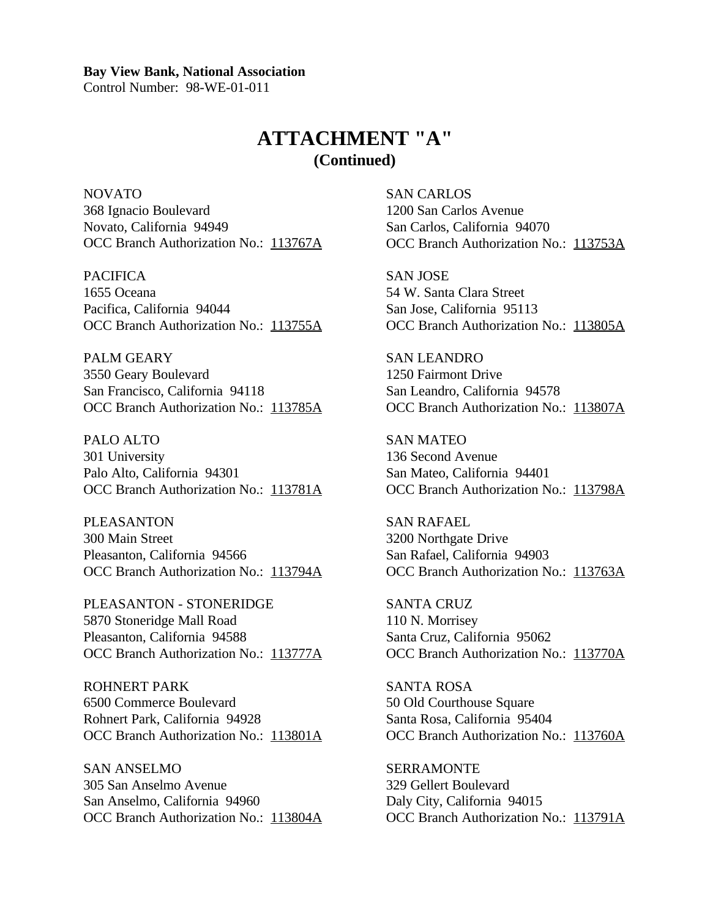Control Number: 98-WE-01-011

### **ATTACHMENT "A" (Continued)**

NOVATO SAN CARLOS 368 Ignacio Boulevard 1200 San Carlos Avenue Novato, California 94949 San Carlos, California 94070 OCC Branch Authorization No.: 113767A OCC Branch Authorization No.: 113753A

PACIFICA SAN JOSE 1655 Oceana 1655 Oceana 54 W. Santa Clara Street Pacifica, California 94044 San Jose, California 95113

PALM GEARY SAN LEANDRO 3550 Geary Boulevard 1250 Fairmont Drive San Francisco, California 94118 San Leandro, California 94578

PALO ALTO SAN MATEO 301 University 136 Second Avenue Palo Alto, California 94301 San Mateo, California 94401

PLEASANTON SAN RAFAEL 300 Main Street 3200 Northgate Drive Pleasanton, California 94566 San Rafael, California 94903 OCC Branch Authorization No.: 113794A OCC Branch Authorization No.: 113763A

PLEASANTON - STONERIDGE SANTA CRUZ 5870 Stoneridge Mall Road 110 N. Morrisey Pleasanton, California 94588 Santa Cruz, California 95062

ROHNERT PARK SANTA ROSA 6500 Commerce Boulevard 50 Old Courthouse Square Rohnert Park, California 94928 Santa Rosa, California 95404

SAN ANSELMO SERRAMONTE 305 San Anselmo Avenue 329 Gellert Boulevard San Anselmo, California 94960 Daly City, California 94015

OCC Branch Authorization No.: 113755A OCC Branch Authorization No.: 113805A

OCC Branch Authorization No.: 113785A OCC Branch Authorization No.: 113807A

OCC Branch Authorization No.: 113781A OCC Branch Authorization No.: 113798A

OCC Branch Authorization No.: 113777A OCC Branch Authorization No.: 113770A

OCC Branch Authorization No.: 113801A OCC Branch Authorization No.: 113760A

OCC Branch Authorization No.: 113804A OCC Branch Authorization No.: 113791A